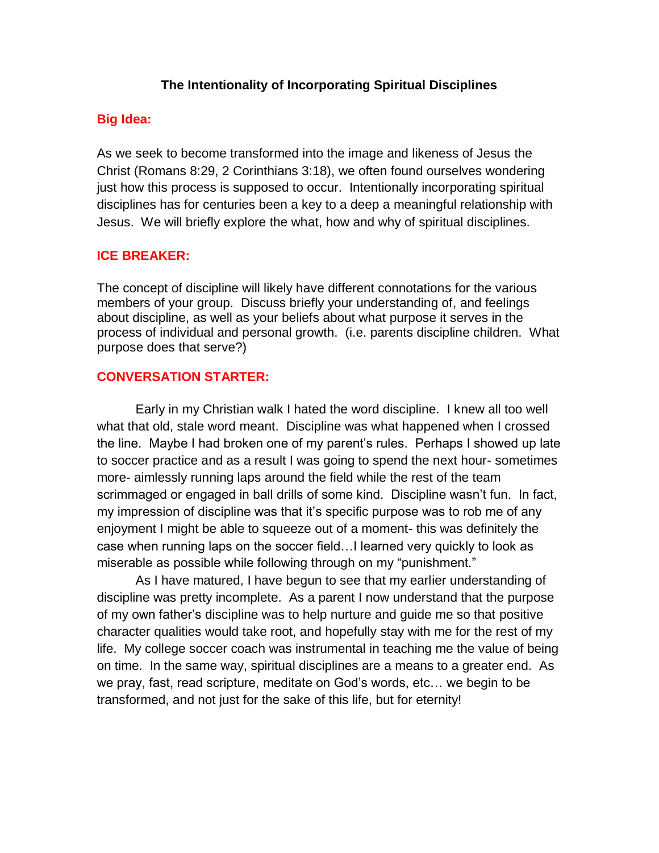### **The Intentionality of Incorporating Spiritual Disciplines**

### **Big Idea:**

As we seek to become transformed into the image and likeness of Jesus the Christ (Romans 8:29, 2 Corinthians 3:18), we often found ourselves wondering just how this process is supposed to occur. Intentionally incorporating spiritual disciplines has for centuries been a key to a deep a meaningful relationship with Jesus. We will briefly explore the what, how and why of spiritual disciplines.

### **ICE BREAKER:**

The concept of discipline will likely have different connotations for the various members of your group. Discuss briefly your understanding of, and feelings about discipline, as well as your beliefs about what purpose it serves in the process of individual and personal growth. (i.e. parents discipline children. What purpose does that serve?)

#### **CONVERSATION STARTER:**

Early in my Christian walk I hated the word discipline. I knew all too well what that old, stale word meant. Discipline was what happened when I crossed the line. Maybe I had broken one of my parent's rules. Perhaps I showed up late to soccer practice and as a result I was going to spend the next hour- sometimes more- aimlessly running laps around the field while the rest of the team scrimmaged or engaged in ball drills of some kind. Discipline wasn't fun. In fact, my impression of discipline was that it's specific purpose was to rob me of any enjoyment I might be able to squeeze out of a moment- this was definitely the case when running laps on the soccer field…I learned very quickly to look as miserable as possible while following through on my "punishment."

As I have matured, I have begun to see that my earlier understanding of discipline was pretty incomplete. As a parent I now understand that the purpose of my own father's discipline was to help nurture and guide me so that positive character qualities would take root, and hopefully stay with me for the rest of my life. My college soccer coach was instrumental in teaching me the value of being on time. In the same way, spiritual disciplines are a means to a greater end. As we pray, fast, read scripture, meditate on God's words, etc… we begin to be transformed, and not just for the sake of this life, but for eternity!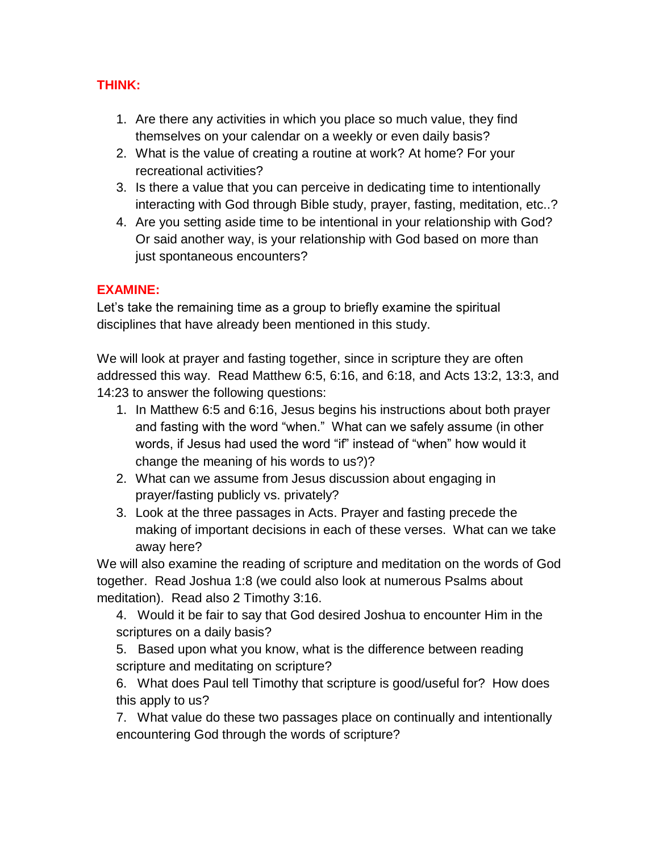# **THINK:**

- 1. Are there any activities in which you place so much value, they find themselves on your calendar on a weekly or even daily basis?
- 2. What is the value of creating a routine at work? At home? For your recreational activities?
- 3. Is there a value that you can perceive in dedicating time to intentionally interacting with God through Bible study, prayer, fasting, meditation, etc..?
- 4. Are you setting aside time to be intentional in your relationship with God? Or said another way, is your relationship with God based on more than just spontaneous encounters?

# **EXAMINE:**

Let's take the remaining time as a group to briefly examine the spiritual disciplines that have already been mentioned in this study.

We will look at prayer and fasting together, since in scripture they are often addressed this way. Read Matthew 6:5, 6:16, and 6:18, and Acts 13:2, 13:3, and 14:23 to answer the following questions:

- 1. In Matthew 6:5 and 6:16, Jesus begins his instructions about both prayer and fasting with the word "when." What can we safely assume (in other words, if Jesus had used the word "if" instead of "when" how would it change the meaning of his words to us?)?
- 2. What can we assume from Jesus discussion about engaging in prayer/fasting publicly vs. privately?
- 3. Look at the three passages in Acts. Prayer and fasting precede the making of important decisions in each of these verses. What can we take away here?

We will also examine the reading of scripture and meditation on the words of God together. Read Joshua 1:8 (we could also look at numerous Psalms about meditation). Read also 2 Timothy 3:16.

4. Would it be fair to say that God desired Joshua to encounter Him in the scriptures on a daily basis?

5. Based upon what you know, what is the difference between reading scripture and meditating on scripture?

6. What does Paul tell Timothy that scripture is good/useful for? How does this apply to us?

7. What value do these two passages place on continually and intentionally encountering God through the words of scripture?